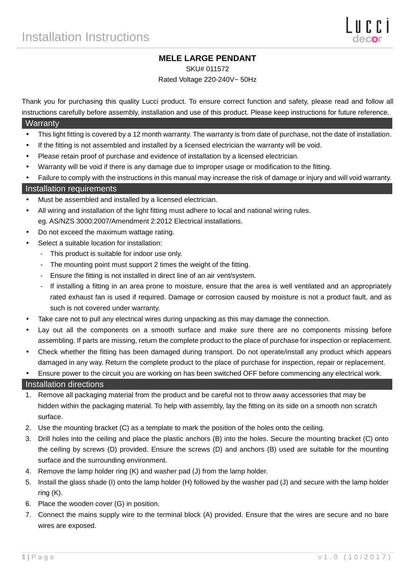## **MELE LARGE PENDANT**

SKU# 011572

Rated Voltage 220-240V~ 50Hz

Thank you for purchasing this quality Lucci product. To ensure correct function and safety, please read and follow all instructions carefully before assembly, installation and use of this product. Please keep instructions for future reference.

#### **Warranty**

- This light fitting is covered by a 12 month warranty. The warranty is from date of purchase, not the date of installation.
- If the fitting is not assembled and installed by a licensed electrician the warranty will be void.
- Please retain proof of purchase and evidence of installation by a licensed electrician.
- Warranty will be void if there is any damage due to improper usage or modification to the fitting.
- Failure to comply with the instructions in this manual may increase the risk of damage or injury and will void warranty.

#### Installation requirements

- Must be assembled and installed by a licensed electrician.
- All wiring and installation of the light fitting must adhere to local and national wiring rules. eg. AS/NZS 3000:2007/Amendment 2:2012 Electrical installations.
- Do not exceed the maximum wattage rating.
- Select a suitable location for installation:
	- This product is suitable for indoor use only.
	- The mounting point must support 2 times the weight of the fitting.
	- Ensure the fitting is not installed in direct line of an air vent/system.
	- If installing a fitting in an area prone to moisture, ensure that the area is well ventilated and an appropriately rated exhaust fan is used if required. Damage or corrosion caused by moisture is not a product fault, and as such is not covered under warranty.
- Take care not to pull any electrical wires during unpacking as this may damage the connection.
- Lay out all the components on a smooth surface and make sure there are no components missing before assembling. If parts are missing, return the complete product to the place of purchase for inspection or replacement.
- Check whether the fitting has been damaged during transport. Do not operate/install any product which appears damaged in any way. Return the complete product to the place of purchase for inspection, repair or replacement.
- Ensure power to the circuit you are working on has been switched OFF before commencing any electrical work.

#### Installation directions

- 1. Remove all packaging material from the product and be careful not to throw away accessories that may be hidden within the packaging material. To help with assembly, lay the fitting on its side on a smooth non scratch surface.
- 2. Use the mounting bracket (C) as a template to mark the position of the holes onto the ceiling.
- 3. Drill holes into the ceiling and place the plastic anchors (B) into the holes. Secure the mounting bracket (C) onto the ceiling by screws (D) provided. Ensure the screws (D) and anchors (B) used are suitable for the mounting surface and the surrounding environment.
- 4. Remove the lamp holder ring (K) and washer pad (J) from the lamp holder.
- 5. Install the glass shade (I) onto the lamp holder (H) followed by the washer pad (J) and secure with the lamp holder ring (K).
- 6. Place the wooden cover (G) in position.
- 7. Connect the mains supply wire to the terminal block (A) provided. Ensure that the wires are secure and no bare wires are exposed.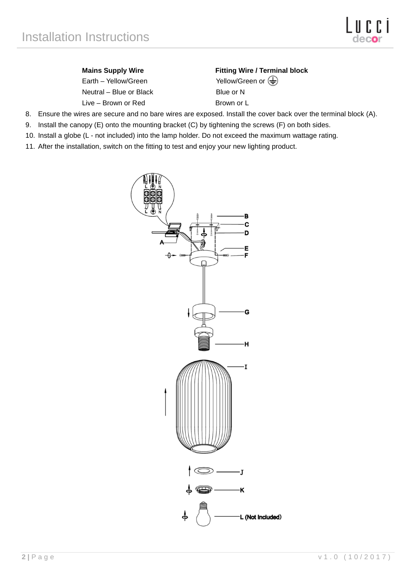Earth – Yellow/Green Yellow/Green or  $\overline{\bigoplus}$ Neutral – Blue or Black Blue or N Live – Brown or Red Brown or L

# **Mains Supply Wire**  Fitting Wire / Terminal block

- 8. Ensure the wires are secure and no bare wires are exposed. Install the cover back over the terminal block (A).
- 9. Install the canopy (E) onto the mounting bracket (C) by tightening the screws (F) on both sides.
- 10. Install a globe (L not included) into the lamp holder. Do not exceed the maximum wattage rating.
- 11. After the installation, switch on the fitting to test and enjoy your new lighting product.